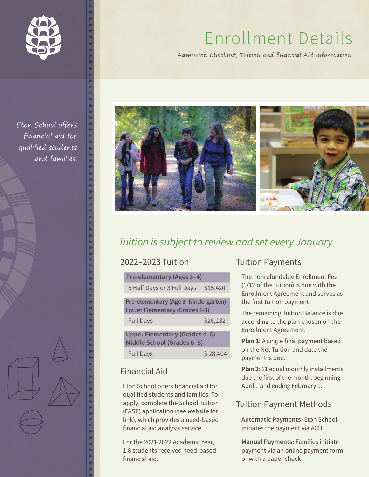

# Enrollment Details

Admission Checklist, Tuition and financial Aid Information



## *Tuition is subject to review and set every January*.

| 2022–2023 Tuition                |                                                                             |          |  |  |
|----------------------------------|-----------------------------------------------------------------------------|----------|--|--|
| <b>Pre-elementary (Ages 3-4)</b> |                                                                             |          |  |  |
|                                  | 5 Half Days or 3 Full Days                                                  | \$15,420 |  |  |
|                                  | Pre-elementary (Age 3-Kindergarten)<br><b>Lower Elementary (Grades 1-3)</b> |          |  |  |
|                                  | <b>Full Days</b>                                                            | \$26,232 |  |  |
|                                  | <b>Upper Elementary (Grades 4-5)</b><br>Middle School (Grades 6-8)          |          |  |  |
|                                  | <b>Full Days</b>                                                            | S 28,404 |  |  |

#### Financial Aid

Eton School offers financial aid for qualified students and families. To apply, complete the School Tuition (FAST) application (see website for link), which provides a need-based financial aid analysis service.

For the 2021-2022 Academic Year, 1:8 students received need-based financial aid.

#### Tuition Payments

The nonrefundable Enrollment Fee (1/12 of the tuition) is due with the Enrollment Agreement and serves as the first tuition payment.

The remaining Tuition Balance is due according to the plan chosen on the Enrollment Agreement.

**Plan 1**: A single final payment based on the Net Tuition and date the payment is due.

**Plan 2**: 11 equal monthly installments due the first of the month, beginning April 1 and ending February 1.

#### Tuition Payment Methods

**Automatic Payments:** Eton School initiates the payment via ACH.

**Manual Payments:** Families initiate payment via an online payment form or with a paper check

Eton School offers financial aid for qualified students and families.